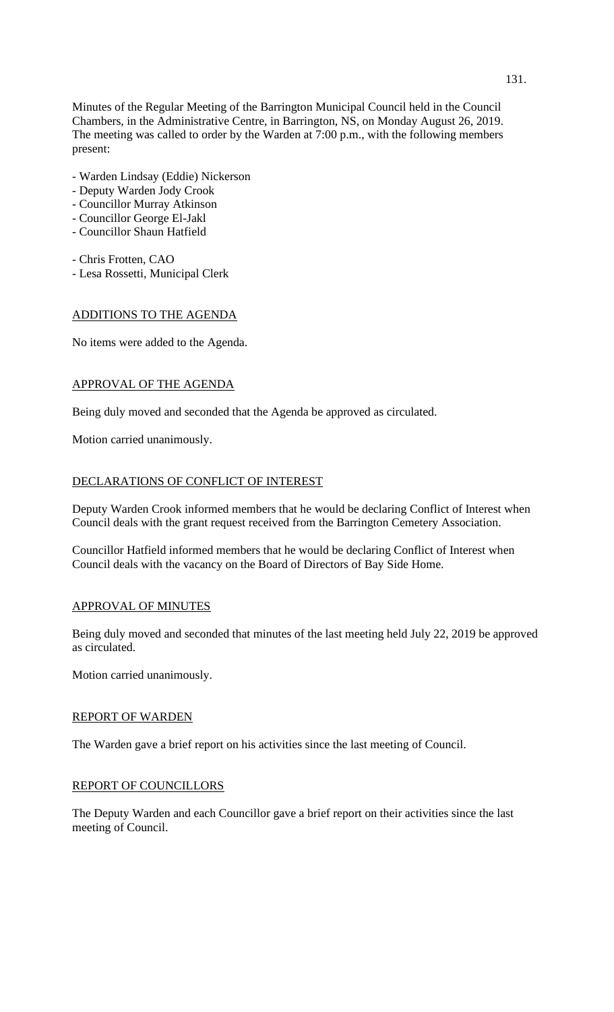Minutes of the Regular Meeting of the Barrington Municipal Council held in the Council Chambers, in the Administrative Centre, in Barrington, NS, on Monday August 26, 2019. The meeting was called to order by the Warden at 7:00 p.m., with the following members present:

- Warden Lindsay (Eddie) Nickerson
- Deputy Warden Jody Crook
- Councillor Murray Atkinson
- Councillor George El-Jakl
- Councillor Shaun Hatfield
- Chris Frotten, CAO
- Lesa Rossetti, Municipal Clerk

# ADDITIONS TO THE AGENDA

No items were added to the Agenda.

# APPROVAL OF THE AGENDA

Being duly moved and seconded that the Agenda be approved as circulated.

Motion carried unanimously.

# DECLARATIONS OF CONFLICT OF INTEREST

Deputy Warden Crook informed members that he would be declaring Conflict of Interest when Council deals with the grant request received from the Barrington Cemetery Association.

Councillor Hatfield informed members that he would be declaring Conflict of Interest when Council deals with the vacancy on the Board of Directors of Bay Side Home.

## APPROVAL OF MINUTES

Being duly moved and seconded that minutes of the last meeting held July 22, 2019 be approved as circulated.

Motion carried unanimously.

## REPORT OF WARDEN

The Warden gave a brief report on his activities since the last meeting of Council.

## REPORT OF COUNCILLORS

The Deputy Warden and each Councillor gave a brief report on their activities since the last meeting of Council.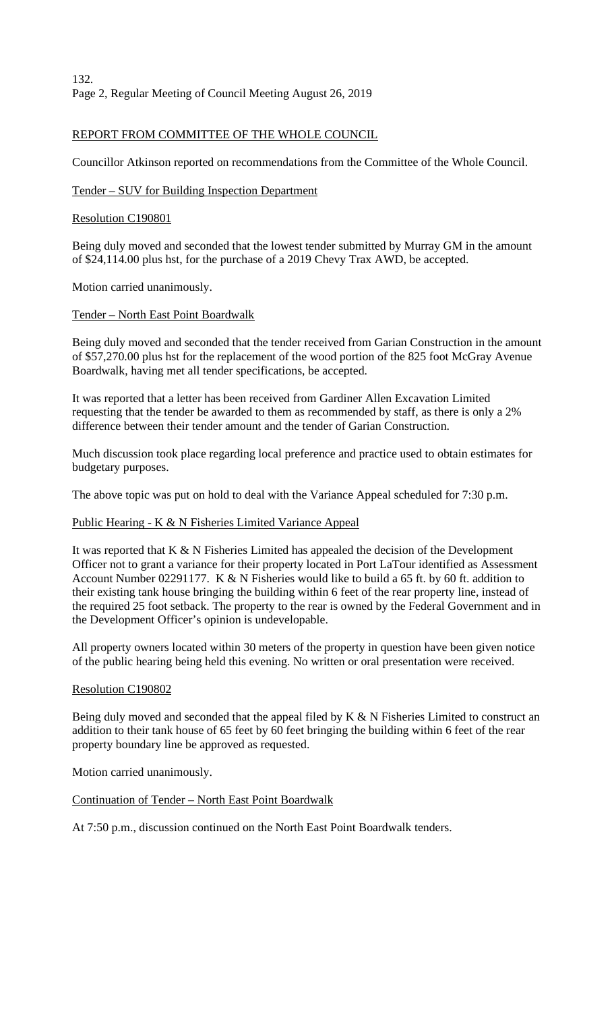## REPORT FROM COMMITTEE OF THE WHOLE COUNCIL

Councillor Atkinson reported on recommendations from the Committee of the Whole Council.

## Tender – SUV for Building Inspection Department

## Resolution C190801

Being duly moved and seconded that the lowest tender submitted by Murray GM in the amount of \$24,114.00 plus hst, for the purchase of a 2019 Chevy Trax AWD, be accepted.

Motion carried unanimously.

# Tender – North East Point Boardwalk

Being duly moved and seconded that the tender received from Garian Construction in the amount of \$57,270.00 plus hst for the replacement of the wood portion of the 825 foot McGray Avenue Boardwalk, having met all tender specifications, be accepted.

It was reported that a letter has been received from Gardiner Allen Excavation Limited requesting that the tender be awarded to them as recommended by staff, as there is only a 2% difference between their tender amount and the tender of Garian Construction.

Much discussion took place regarding local preference and practice used to obtain estimates for budgetary purposes.

The above topic was put on hold to deal with the Variance Appeal scheduled for 7:30 p.m.

## Public Hearing - K & N Fisheries Limited Variance Appeal

It was reported that  $K & N$  Fisheries Limited has appealed the decision of the Development Officer not to grant a variance for their property located in Port LaTour identified as Assessment Account Number 02291177. K & N Fisheries would like to build a 65 ft. by 60 ft. addition to their existing tank house bringing the building within 6 feet of the rear property line, instead of the required 25 foot setback. The property to the rear is owned by the Federal Government and in the Development Officer's opinion is undevelopable.

All property owners located within 30 meters of the property in question have been given notice of the public hearing being held this evening. No written or oral presentation were received.

## Resolution C190802

Being duly moved and seconded that the appeal filed by K & N Fisheries Limited to construct an addition to their tank house of 65 feet by 60 feet bringing the building within 6 feet of the rear property boundary line be approved as requested.

Motion carried unanimously.

## Continuation of Tender – North East Point Boardwalk

At 7:50 p.m., discussion continued on the North East Point Boardwalk tenders.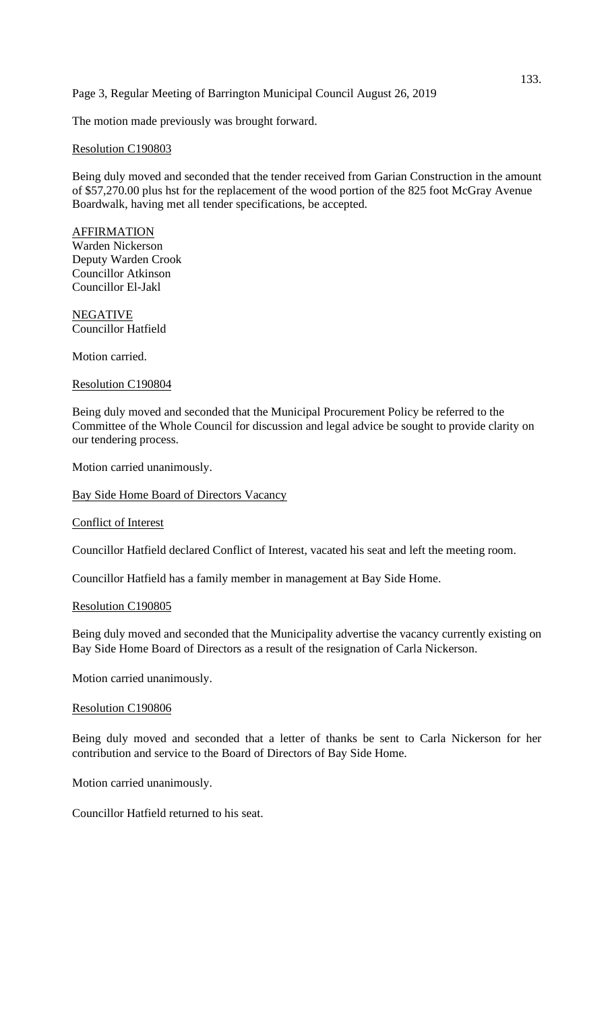## Page 3, Regular Meeting of Barrington Municipal Council August 26, 2019

The motion made previously was brought forward.

### Resolution C190803

Being duly moved and seconded that the tender received from Garian Construction in the amount of \$57,270.00 plus hst for the replacement of the wood portion of the 825 foot McGray Avenue Boardwalk, having met all tender specifications, be accepted.

#### AFFIRMATION Warden Nickerson Deputy Warden Crook Councillor Atkinson Councillor El-Jakl

NEGATIVE Councillor Hatfield

Motion carried.

### Resolution C190804

Being duly moved and seconded that the Municipal Procurement Policy be referred to the Committee of the Whole Council for discussion and legal advice be sought to provide clarity on our tendering process.

Motion carried unanimously.

Bay Side Home Board of Directors Vacancy

#### Conflict of Interest

Councillor Hatfield declared Conflict of Interest, vacated his seat and left the meeting room.

Councillor Hatfield has a family member in management at Bay Side Home.

### Resolution C190805

Being duly moved and seconded that the Municipality advertise the vacancy currently existing on Bay Side Home Board of Directors as a result of the resignation of Carla Nickerson.

Motion carried unanimously.

#### Resolution C190806

Being duly moved and seconded that a letter of thanks be sent to Carla Nickerson for her contribution and service to the Board of Directors of Bay Side Home.

Motion carried unanimously.

Councillor Hatfield returned to his seat.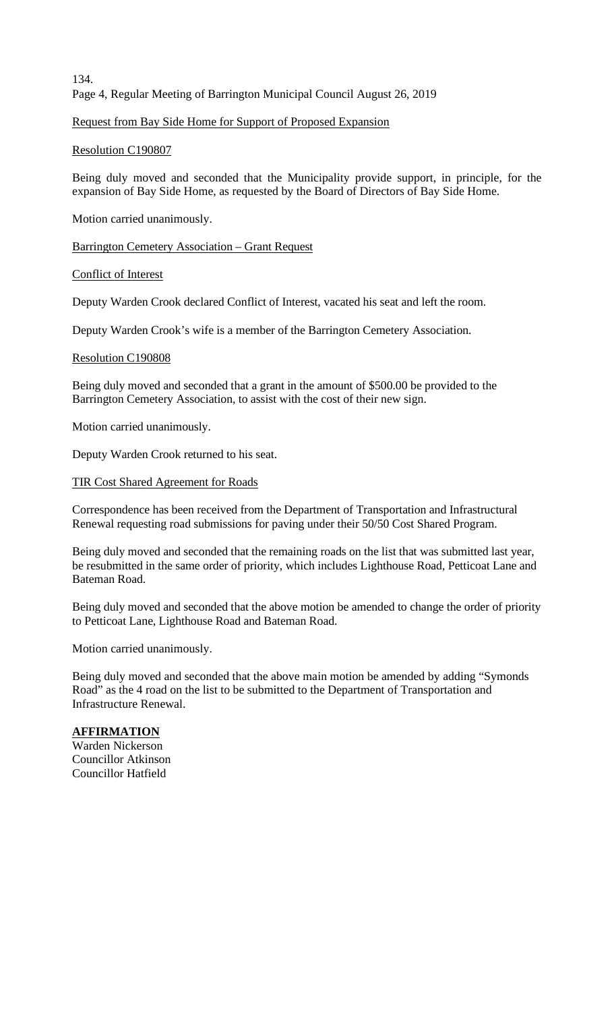134. Page 4, Regular Meeting of Barrington Municipal Council August 26, 2019

Request from Bay Side Home for Support of Proposed Expansion

Resolution C190807

Being duly moved and seconded that the Municipality provide support, in principle, for the expansion of Bay Side Home, as requested by the Board of Directors of Bay Side Home.

Motion carried unanimously.

Barrington Cemetery Association – Grant Request

Conflict of Interest

Deputy Warden Crook declared Conflict of Interest, vacated his seat and left the room.

Deputy Warden Crook's wife is a member of the Barrington Cemetery Association.

### Resolution C190808

Being duly moved and seconded that a grant in the amount of \$500.00 be provided to the Barrington Cemetery Association, to assist with the cost of their new sign.

Motion carried unanimously.

Deputy Warden Crook returned to his seat.

#### TIR Cost Shared Agreement for Roads

Correspondence has been received from the Department of Transportation and Infrastructural Renewal requesting road submissions for paving under their 50/50 Cost Shared Program.

Being duly moved and seconded that the remaining roads on the list that was submitted last year, be resubmitted in the same order of priority, which includes Lighthouse Road, Petticoat Lane and Bateman Road.

Being duly moved and seconded that the above motion be amended to change the order of priority to Petticoat Lane, Lighthouse Road and Bateman Road.

Motion carried unanimously.

Being duly moved and seconded that the above main motion be amended by adding "Symonds Road" as the 4 road on the list to be submitted to the Department of Transportation and Infrastructure Renewal.

#### **AFFIRMATION**

Warden Nickerson Councillor Atkinson Councillor Hatfield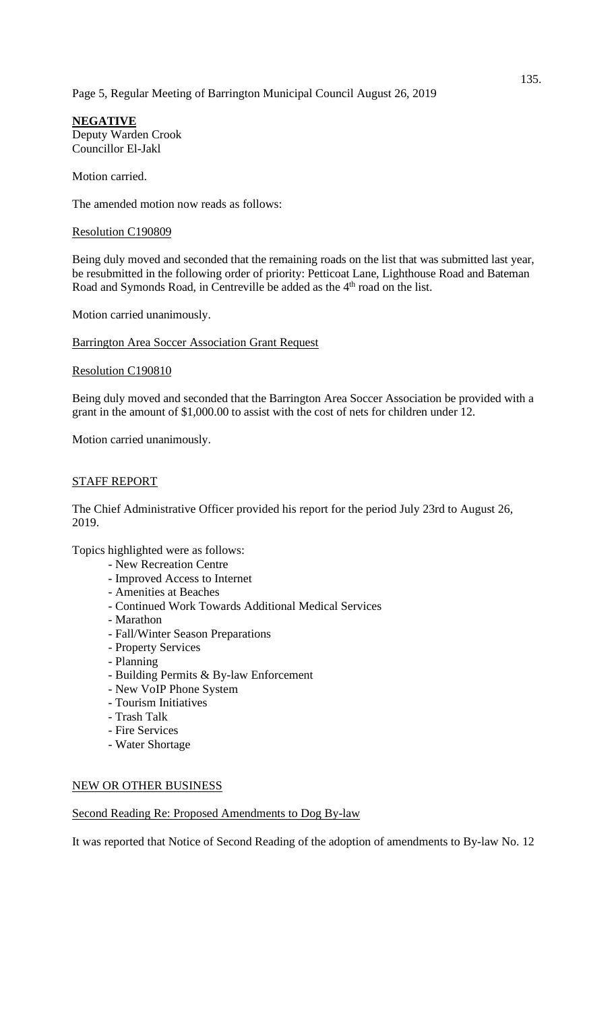# Page 5, Regular Meeting of Barrington Municipal Council August 26, 2019

**NEGATIVE** Deputy Warden Crook Councillor El-Jakl

Motion carried.

The amended motion now reads as follows:

### Resolution C190809

Being duly moved and seconded that the remaining roads on the list that was submitted last year, be resubmitted in the following order of priority: Petticoat Lane, Lighthouse Road and Bateman Road and Symonds Road, in Centreville be added as the 4<sup>th</sup> road on the list.

Motion carried unanimously.

Barrington Area Soccer Association Grant Request

### Resolution C190810

Being duly moved and seconded that the Barrington Area Soccer Association be provided with a grant in the amount of \$1,000.00 to assist with the cost of nets for children under 12.

Motion carried unanimously.

### STAFF REPORT

The Chief Administrative Officer provided his report for the period July 23rd to August 26, 2019.

Topics highlighted were as follows:

- New Recreation Centre
- Improved Access to Internet
- Amenities at Beaches
- Continued Work Towards Additional Medical Services
- Marathon
- Fall/Winter Season Preparations
- Property Services
- Planning
- Building Permits & By-law Enforcement
- New VoIP Phone System
- Tourism Initiatives
- Trash Talk
- Fire Services
- Water Shortage

## NEW OR OTHER BUSINESS

Second Reading Re: Proposed Amendments to Dog By-law

It was reported that Notice of Second Reading of the adoption of amendments to By-law No. 12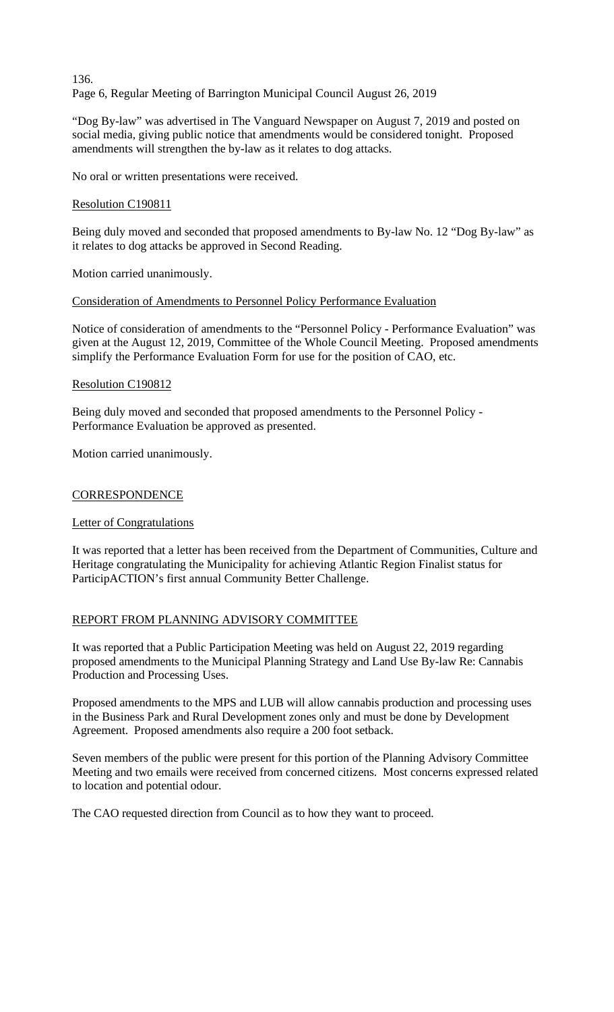# 136. Page 6, Regular Meeting of Barrington Municipal Council August 26, 2019

"Dog By-law" was advertised in The Vanguard Newspaper on August 7, 2019 and posted on social media, giving public notice that amendments would be considered tonight. Proposed amendments will strengthen the by-law as it relates to dog attacks.

No oral or written presentations were received.

## Resolution C190811

Being duly moved and seconded that proposed amendments to By-law No. 12 "Dog By-law" as it relates to dog attacks be approved in Second Reading.

Motion carried unanimously.

## Consideration of Amendments to Personnel Policy Performance Evaluation

Notice of consideration of amendments to the "Personnel Policy - Performance Evaluation" was given at the August 12, 2019, Committee of the Whole Council Meeting. Proposed amendments simplify the Performance Evaluation Form for use for the position of CAO, etc.

## Resolution C190812

Being duly moved and seconded that proposed amendments to the Personnel Policy - Performance Evaluation be approved as presented.

Motion carried unanimously.

## **CORRESPONDENCE**

## Letter of Congratulations

It was reported that a letter has been received from the Department of Communities, Culture and Heritage congratulating the Municipality for achieving Atlantic Region Finalist status for ParticipACTION's first annual Community Better Challenge.

## REPORT FROM PLANNING ADVISORY COMMITTEE

It was reported that a Public Participation Meeting was held on August 22, 2019 regarding proposed amendments to the Municipal Planning Strategy and Land Use By-law Re: Cannabis Production and Processing Uses.

Proposed amendments to the MPS and LUB will allow cannabis production and processing uses in the Business Park and Rural Development zones only and must be done by Development Agreement. Proposed amendments also require a 200 foot setback.

Seven members of the public were present for this portion of the Planning Advisory Committee Meeting and two emails were received from concerned citizens. Most concerns expressed related to location and potential odour.

The CAO requested direction from Council as to how they want to proceed.